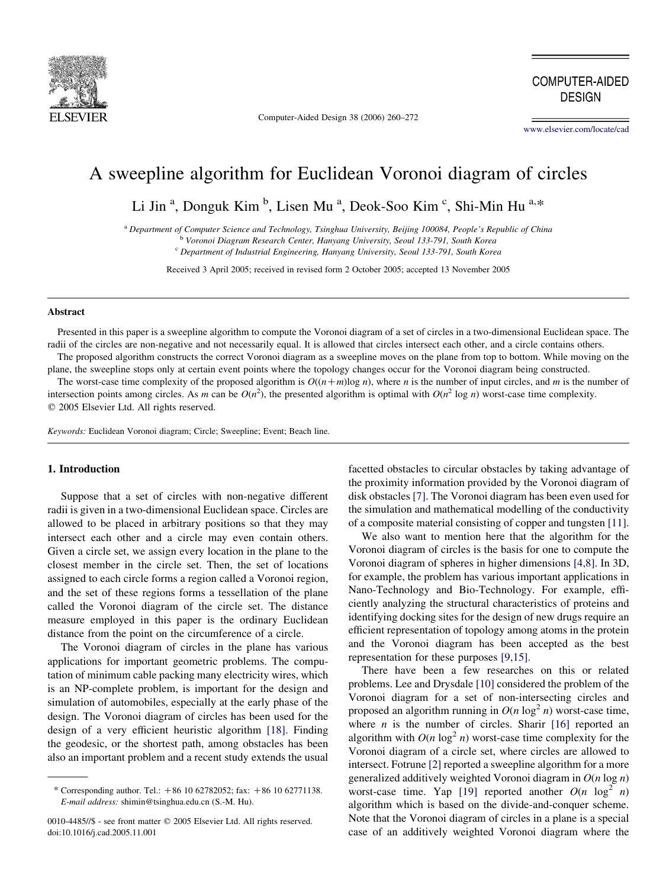

Computer-Aided Design 38 (2006) 260–272

**COMPUTER-AIDED DESIGN** 

[www.elsevier.com/locate/cad](http://www.elsevier.com/locate/cad)

# A sweepline algorithm for Euclidean Voronoi diagram of circles

Li Jin<sup>a</sup>, Donguk Kim<sup>b</sup>, Lisen Mu<sup>a</sup>, Deok-Soo Kim<sup>c</sup>, Shi-Min Hu<sup>a,\*</sup>

<sup>a</sup> Department of Computer Science and Technology, Tsinghua University, Beijing 100084, People's Republic of China

<sup>b</sup> Voronoi Diagram Research Center, Hanyang University, Seoul 133-791, South Korea

<sup>c</sup> Department of Industrial Engineering, Hanyang University, Seoul 133-791, South Korea

Received 3 April 2005; received in revised form 2 October 2005; accepted 13 November 2005

#### Abstract

Presented in this paper is a sweepline algorithm to compute the Voronoi diagram of a set of circles in a two-dimensional Euclidean space. The radii of the circles are non-negative and not necessarily equal. It is allowed that circles intersect each other, and a circle contains others.

The proposed algorithm constructs the correct Voronoi diagram as a sweepline moves on the plane from top to bottom. While moving on the plane, the sweepline stops only at certain event points where the topology changes occur for the Voronoi diagram being constructed.

The worst-case time complexity of the proposed algorithm is  $O((n+m)\log n)$ , where n is the number of input circles, and m is the number of intersection points among circles. As m can be  $O(n^2)$ , the presented algorithm is optimal with  $O(n^2 \log n)$  worst-case time complexity.  $Q$  2005 Elsevier Ltd. All rights reserved.

Keywords: Euclidean Voronoi diagram; Circle; Sweepline; Event; Beach line.

#### 1. Introduction

Suppose that a set of circles with non-negative different radii is given in a two-dimensional Euclidean space. Circles are allowed to be placed in arbitrary positions so that they may intersect each other and a circle may even contain others. Given a circle set, we assign every location in the plane to the closest member in the circle set. Then, the set of locations assigned to each circle forms a region called a Voronoi region, and the set of these regions forms a tessellation of the plane called the Voronoi diagram of the circle set. The distance measure employed in this paper is the ordinary Euclidean distance from the point on the circumference of a circle.

The Voronoi diagram of circles in the plane has various applications for important geometric problems. The computation of minimum cable packing many electricity wires, which is an NP-complete problem, is important for the design and simulation of automobiles, especially at the early phase of the design. The Voronoi diagram of circles has been used for the design of a very efficient heuristic algorithm [\[18\]](#page-11-0). Finding the geodesic, or the shortest path, among obstacles has been also an important problem and a recent study extends the usual

facetted obstacles to circular obstacles by taking advantage of the proximity information provided by the Voronoi diagram of disk obstacles [\[7\].](#page-11-0) The Voronoi diagram has been even used for the simulation and mathematical modelling of the conductivity of a composite material consisting of copper and tungsten [\[11\]](#page-11-0).

We also want to mention here that the algorithm for the Voronoi diagram of circles is the basis for one to compute the Voronoi diagram of spheres in higher dimensions [\[4,8\].](#page-11-0) In 3D, for example, the problem has various important applications in Nano-Technology and Bio-Technology. For example, efficiently analyzing the structural characteristics of proteins and identifying docking sites for the design of new drugs require an efficient representation of topology among atoms in the protein and the Voronoi diagram has been accepted as the best representation for these purposes [\[9,15\]](#page-11-0).

There have been a few researches on this or related problems. Lee and Drysdale [\[10\]](#page-11-0) considered the problem of the Voronoi diagram for a set of non-intersecting circles and proposed an algorithm running in  $O(n \log^2 n)$  worst-case time, where *n* is the number of circles. Sharir  $[16]$  reported an algorithm with  $O(n \log^2 n)$  worst-case time complexity for the Voronoi diagram of a circle set, where circles are allowed to intersect. Fotrune [\[2\]](#page-11-0) reported a sweepline algorithm for a more generalized additively weighted Voronoi diagram in  $O(n \log n)$ worst-case time. Yap [\[19\]](#page-11-0) reported another  $O(n \log^2 n)$ algorithm which is based on the divide-and-conquer scheme. Note that the Voronoi diagram of circles in a plane is a special case of an additively weighted Voronoi diagram where the

<sup>\*</sup> Corresponding author. Tel.:  $+86$  10 62782052; fax:  $+86$  10 62771138. E-mail address: shimin@tsinghua.edu.cn (S.-M. Hu).

<sup>0010-4485//\$ -</sup> see front matter © 2005 Elsevier Ltd. All rights reserved. doi:10.1016/j.cad.2005.11.001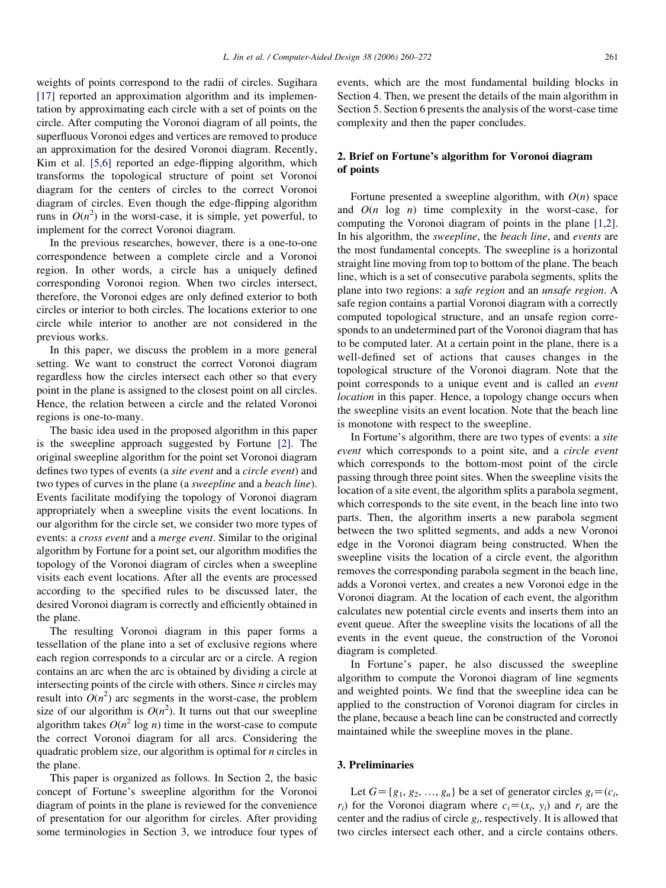weights of points correspond to the radii of circles. Sugihara [\[17\]](#page-11-0) reported an approximation algorithm and its implementation by approximating each circle with a set of points on the circle. After computing the Voronoi diagram of all points, the superfluous Voronoi edges and vertices are removed to produce an approximation for the desired Voronoi diagram. Recently, Kim et al. [\[5,6\]](#page-11-0) reported an edge-flipping algorithm, which transforms the topological structure of point set Voronoi diagram for the centers of circles to the correct Voronoi diagram of circles. Even though the edge-flipping algorithm runs in  $O(n^2)$  in the worst-case, it is simple, yet powerful, to implement for the correct Voronoi diagram.

In the previous researches, however, there is a one-to-one correspondence between a complete circle and a Voronoi region. In other words, a circle has a uniquely defined corresponding Voronoi region. When two circles intersect, therefore, the Voronoi edges are only defined exterior to both circles or interior to both circles. The locations exterior to one circle while interior to another are not considered in the previous works.

In this paper, we discuss the problem in a more general setting. We want to construct the correct Voronoi diagram regardless how the circles intersect each other so that every point in the plane is assigned to the closest point on all circles. Hence, the relation between a circle and the related Voronoi regions is one-to-many.

The basic idea used in the proposed algorithm in this paper is the sweepline approach suggested by Fortune [\[2\]](#page-11-0). The original sweepline algorithm for the point set Voronoi diagram defines two types of events (a site event and a circle event) and two types of curves in the plane (a sweepline and a beach line). Events facilitate modifying the topology of Voronoi diagram appropriately when a sweepline visits the event locations. In our algorithm for the circle set, we consider two more types of events: a cross event and a merge event. Similar to the original algorithm by Fortune for a point set, our algorithm modifies the topology of the Voronoi diagram of circles when a sweepline visits each event locations. After all the events are processed according to the specified rules to be discussed later, the desired Voronoi diagram is correctly and efficiently obtained in the plane.

The resulting Voronoi diagram in this paper forms a tessellation of the plane into a set of exclusive regions where each region corresponds to a circular arc or a circle. A region contains an arc when the arc is obtained by dividing a circle at intersecting points of the circle with others. Since n circles may result into  $O(n^2)$  arc segments in the worst-case, the problem size of our algorithm is  $O(n^2)$ . It turns out that our sweepline algorithm takes  $O(n^2 \log n)$  time in the worst-case to compute the correct Voronoi diagram for all arcs. Considering the quadratic problem size, our algorithm is optimal for n circles in the plane.

This paper is organized as follows. In Section 2, the basic concept of Fortune's sweepline algorithm for the Voronoi diagram of points in the plane is reviewed for the convenience of presentation for our algorithm for circles. After providing some terminologies in Section 3, we introduce four types of events, which are the most fundamental building blocks in Section 4. Then, we present the details of the main algorithm in Section 5. Section 6 presents the analysis of the worst-case time complexity and then the paper concludes.

# 2. Brief on Fortune's algorithm for Voronoi diagram of points

Fortune presented a sweepline algorithm, with  $O(n)$  space and  $O(n \log n)$  time complexity in the worst-case, for computing the Voronoi diagram of points in the plane [\[1,2\]](#page-11-0). In his algorithm, the sweepline, the beach line, and events are the most fundamental concepts. The sweepline is a horizontal straight line moving from top to bottom of the plane. The beach line, which is a set of consecutive parabola segments, splits the plane into two regions: a safe region and an unsafe region. A safe region contains a partial Voronoi diagram with a correctly computed topological structure, and an unsafe region corresponds to an undetermined part of the Voronoi diagram that has to be computed later. At a certain point in the plane, there is a well-defined set of actions that causes changes in the topological structure of the Voronoi diagram. Note that the point corresponds to a unique event and is called an event location in this paper. Hence, a topology change occurs when the sweepline visits an event location. Note that the beach line is monotone with respect to the sweepline.

In Fortune's algorithm, there are two types of events: a *site* event which corresponds to a point site, and a circle event which corresponds to the bottom-most point of the circle passing through three point sites. When the sweepline visits the location of a site event, the algorithm splits a parabola segment, which corresponds to the site event, in the beach line into two parts. Then, the algorithm inserts a new parabola segment between the two splitted segments, and adds a new Voronoi edge in the Voronoi diagram being constructed. When the sweepline visits the location of a circle event, the algorithm removes the corresponding parabola segment in the beach line, adds a Voronoi vertex, and creates a new Voronoi edge in the Voronoi diagram. At the location of each event, the algorithm calculates new potential circle events and inserts them into an event queue. After the sweepline visits the locations of all the events in the event queue, the construction of the Voronoi diagram is completed.

In Fortune's paper, he also discussed the sweepline algorithm to compute the Voronoi diagram of line segments and weighted points. We find that the sweepline idea can be applied to the construction of Voronoi diagram for circles in the plane, because a beach line can be constructed and correctly maintained while the sweepline moves in the plane.

# 3. Preliminaries

Let  $G = \{g_1, g_2, ..., g_n\}$  be a set of generator circles  $g_i = (c_i,$  $r_i$ ) for the Voronoi diagram where  $c_i = (x_i, y_i)$  and  $r_i$  are the center and the radius of circle  $g_i$ , respectively. It is allowed that two circles intersect each other, and a circle contains others.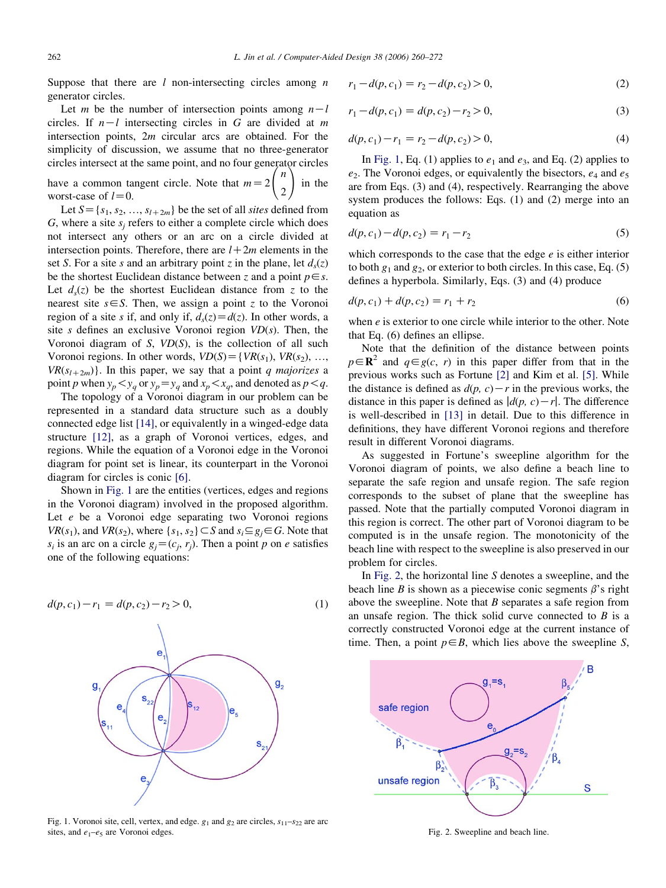Suppose that there are  $l$  non-intersecting circles among  $n$ generator circles.

Let m be the number of intersection points among  $n-l$ circles. If  $n-l$  intersecting circles in G are divided at m intersection points, 2m circular arcs are obtained. For the simplicity of discussion, we assume that no three-generator circles intersect at the same point, and no four generator circles ! have a common tangent circle. Note that  $m=2$ 2 in the worst-case of  $l=0$ .

Let  $S = \{s_1, s_2, ..., s_{l+2m}\}$  be the set of all sites defined from G, where a site  $s_i$  refers to either a complete circle which does not intersect any others or an arc on a circle divided at intersection points. Therefore, there are  $l+2m$  elements in the set S. For a site s and an arbitrary point z in the plane, let  $d_s(z)$ be the shortest Euclidean distance between z and a point  $p \in s$ . Let  $d_s(z)$  be the shortest Euclidean distance from z to the nearest site  $s \in S$ . Then, we assign a point z to the Voronoi region of a site s if, and only if,  $d_s(z) = d(z)$ . In other words, a site s defines an exclusive Voronoi region  $VD(s)$ . Then, the Voronoi diagram of  $S$ ,  $VD(S)$ , is the collection of all such Voronoi regions. In other words,  $VD(S) = \{VR(s_1), VR(s_2), ...,$  $VR(s_{l+2m})$ . In this paper, we say that a point q majorizes a point p when  $y_p < y_q$  or  $y_p = y_q$  and  $x_p < x_q$ , and denoted as  $p < q$ .

The topology of a Voronoi diagram in our problem can be represented in a standard data structure such as a doubly connected edge list [\[14\]](#page-11-0), or equivalently in a winged-edge data structure [\[12\]](#page-11-0), as a graph of Voronoi vertices, edges, and regions. While the equation of a Voronoi edge in the Voronoi diagram for point set is linear, its counterpart in the Voronoi diagram for circles is conic [\[6\]](#page-11-0).

Shown in Fig. 1 are the entities (vertices, edges and regions in the Voronoi diagram) involved in the proposed algorithm. Let e be a Voronoi edge separating two Voronoi regions  $VR(s_1)$ , and  $VR(s_2)$ , where  $\{s_1, s_2\} \subset S$  and  $s_i \subseteq g_i \in G$ . Note that  $s_i$  is an arc on a circle  $g_i = (c_i, r_i)$ . Then a point p on e satisfies one of the following equations:

$$
d(p, c_1) - r_1 = d(p, c_2) - r_2 > 0,
$$
\n(1)



Fig. 1. Voronoi site, cell, vertex, and edge.  $g_1$  and  $g_2$  are circles,  $s_{11}-s_{22}$  are arc sites, and  $e_1-e_5$  are Voronoi edges. Fig. 2. Sweepline and beach line.

$$
r_1 - d(p, c_1) = r_2 - d(p, c_2) > 0,
$$
\n(2)

$$
r_1 - d(p, c_1) = d(p, c_2) - r_2 > 0,
$$
\n(3)

$$
d(p, c_1) - r_1 = r_2 - d(p, c_2) > 0,
$$
\n(4)

In Fig. 1, Eq. (1) applies to  $e_1$  and  $e_3$ , and Eq. (2) applies to  $e_2$ . The Voronoi edges, or equivalently the bisectors,  $e_4$  and  $e_5$ are from Eqs. (3) and (4), respectively. Rearranging the above system produces the follows: Eqs. (1) and (2) merge into an equation as

$$
d(p, c_1) - d(p, c_2) = r_1 - r_2 \tag{5}
$$

which corresponds to the case that the edge  $e$  is either interior to both  $g_1$  and  $g_2$ , or exterior to both circles. In this case, Eq. (5) defines a hyperbola. Similarly, Eqs. (3) and (4) produce

$$
d(p, c_1) + d(p, c_2) = r_1 + r_2 \tag{6}
$$

when  $e$  is exterior to one circle while interior to the other. Note that Eq. (6) defines an ellipse.

Note that the definition of the distance between points  $p \in \mathbb{R}^2$  and  $q \in g(c, r)$  in this paper differ from that in the previous works such as Fortune [\[2\]](#page-11-0) and Kim et al. [\[5\]](#page-11-0). While the distance is defined as  $d(p, c) - r$  in the previous works, the distance in this paper is defined as  $|d(p, c) - r|$ . The difference is well-described in [\[13\]](#page-11-0) in detail. Due to this difference in definitions, they have different Voronoi regions and therefore result in different Voronoi diagrams.

As suggested in Fortune's sweepline algorithm for the Voronoi diagram of points, we also define a beach line to separate the safe region and unsafe region. The safe region corresponds to the subset of plane that the sweepline has passed. Note that the partially computed Voronoi diagram in this region is correct. The other part of Voronoi diagram to be computed is in the unsafe region. The monotonicity of the beach line with respect to the sweepline is also preserved in our problem for circles.

In Fig. 2, the horizontal line S denotes a sweepline, and the beach line B is shown as a piecewise conic segments  $\beta$ 's right above the sweepline. Note that  $B$  separates a safe region from an unsafe region. The thick solid curve connected to  $B$  is a correctly constructed Voronoi edge at the current instance of time. Then, a point  $p \in B$ , which lies above the sweepline S,

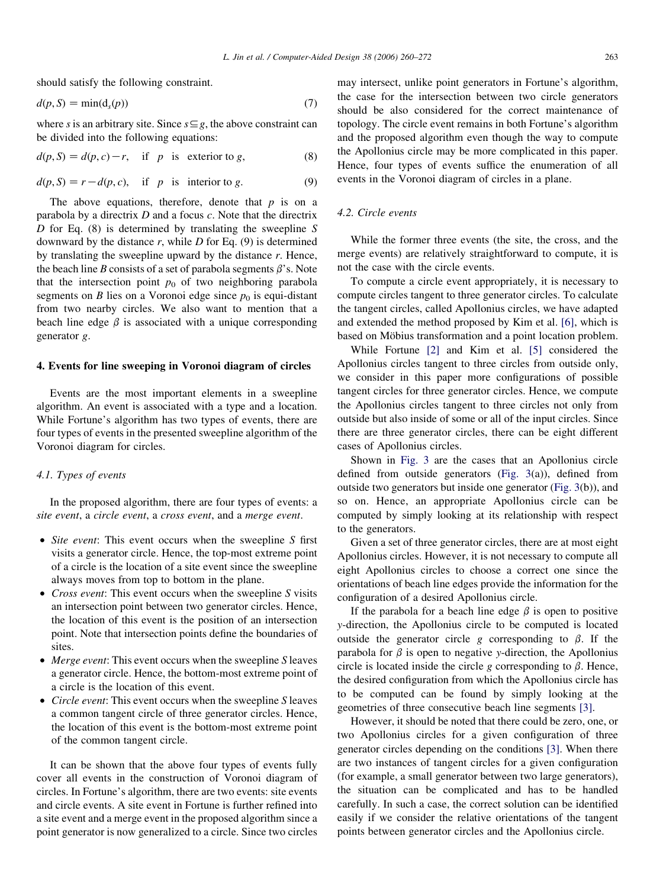should satisfy the following constraint.

$$
d(p, S) = \min(d_s(p))
$$
\n(7)

where s is an arbitrary site. Since  $s \subseteq g$ , the above constraint can be divided into the following equations:

 $d(p, S) = d(p, c) - r$ , if p is exterior to g, (8)

$$
d(p, S) = r - d(p, c), \quad \text{if } p \text{ is interior to } g. \tag{9}
$$

The above equations, therefore, denote that  $p$  is on a parabola by a directrix  $D$  and a focus  $c$ . Note that the directrix D for Eq.  $(8)$  is determined by translating the sweepline S downward by the distance  $r$ , while  $D$  for Eq. (9) is determined by translating the sweepline upward by the distance  $r$ . Hence, the beach line B consists of a set of parabola segments  $\beta$ 's. Note that the intersection point  $p_0$  of two neighboring parabola segments on B lies on a Voronoi edge since  $p_0$  is equi-distant from two nearby circles. We also want to mention that a beach line edge  $\beta$  is associated with a unique corresponding generator g.

## 4. Events for line sweeping in Voronoi diagram of circles

Events are the most important elements in a sweepline algorithm. An event is associated with a type and a location. While Fortune's algorithm has two types of events, there are four types of events in the presented sweepline algorithm of the Voronoi diagram for circles.

#### 4.1. Types of events

In the proposed algorithm, there are four types of events: a site event, a circle event, a cross event, and a merge event.

- Site event: This event occurs when the sweepline  $S$  first visits a generator circle. Hence, the top-most extreme point of a circle is the location of a site event since the sweepline always moves from top to bottom in the plane.
- Cross event: This event occurs when the sweepline S visits an intersection point between two generator circles. Hence, the location of this event is the position of an intersection point. Note that intersection points define the boundaries of sites.
- $\bullet$  *Merge event*: This event occurs when the sweepline S leaves a generator circle. Hence, the bottom-most extreme point of a circle is the location of this event.
- $\bullet$  *Circle event*: This event occurs when the sweepline S leaves a common tangent circle of three generator circles. Hence, the location of this event is the bottom-most extreme point of the common tangent circle.

It can be shown that the above four types of events fully cover all events in the construction of Voronoi diagram of circles. In Fortune's algorithm, there are two events: site events and circle events. A site event in Fortune is further refined into a site event and a merge event in the proposed algorithm since a point generator is now generalized to a circle. Since two circles

may intersect, unlike point generators in Fortune's algorithm, the case for the intersection between two circle generators should be also considered for the correct maintenance of topology. The circle event remains in both Fortune's algorithm and the proposed algorithm even though the way to compute the Apollonius circle may be more complicated in this paper. Hence, four types of events suffice the enumeration of all events in the Voronoi diagram of circles in a plane.

# 4.2. Circle events

While the former three events (the site, the cross, and the merge events) are relatively straightforward to compute, it is not the case with the circle events.

To compute a circle event appropriately, it is necessary to compute circles tangent to three generator circles. To calculate the tangent circles, called Apollonius circles, we have adapted and extended the method proposed by Kim et al. [\[6\]](#page-11-0), which is based on Möbius transformation and a point location problem.

While Fortune [\[2\]](#page-11-0) and Kim et al. [\[5\]](#page-11-0) considered the Apollonius circles tangent to three circles from outside only, we consider in this paper more configurations of possible tangent circles for three generator circles. Hence, we compute the Apollonius circles tangent to three circles not only from outside but also inside of some or all of the input circles. Since there are three generator circles, there can be eight different cases of Apollonius circles.

Shown in [Fig. 3](#page-4-0) are the cases that an Apollonius circle defined from outside generators [\(Fig. 3](#page-4-0)(a)), defined from outside two generators but inside one generator [\(Fig. 3\(](#page-4-0)b)), and so on. Hence, an appropriate Apollonius circle can be computed by simply looking at its relationship with respect to the generators.

Given a set of three generator circles, there are at most eight Apollonius circles. However, it is not necessary to compute all eight Apollonius circles to choose a correct one since the orientations of beach line edges provide the information for the configuration of a desired Apollonius circle.

If the parabola for a beach line edge  $\beta$  is open to positive y-direction, the Apollonius circle to be computed is located outside the generator circle g corresponding to  $\beta$ . If the parabola for  $\beta$  is open to negative y-direction, the Apollonius circle is located inside the circle g corresponding to  $\beta$ . Hence, the desired configuration from which the Apollonius circle has to be computed can be found by simply looking at the geometries of three consecutive beach line segments [\[3\].](#page-11-0)

However, it should be noted that there could be zero, one, or two Apollonius circles for a given configuration of three generator circles depending on the conditions [\[3\]](#page-11-0). When there are two instances of tangent circles for a given configuration (for example, a small generator between two large generators), the situation can be complicated and has to be handled carefully. In such a case, the correct solution can be identified easily if we consider the relative orientations of the tangent points between generator circles and the Apollonius circle.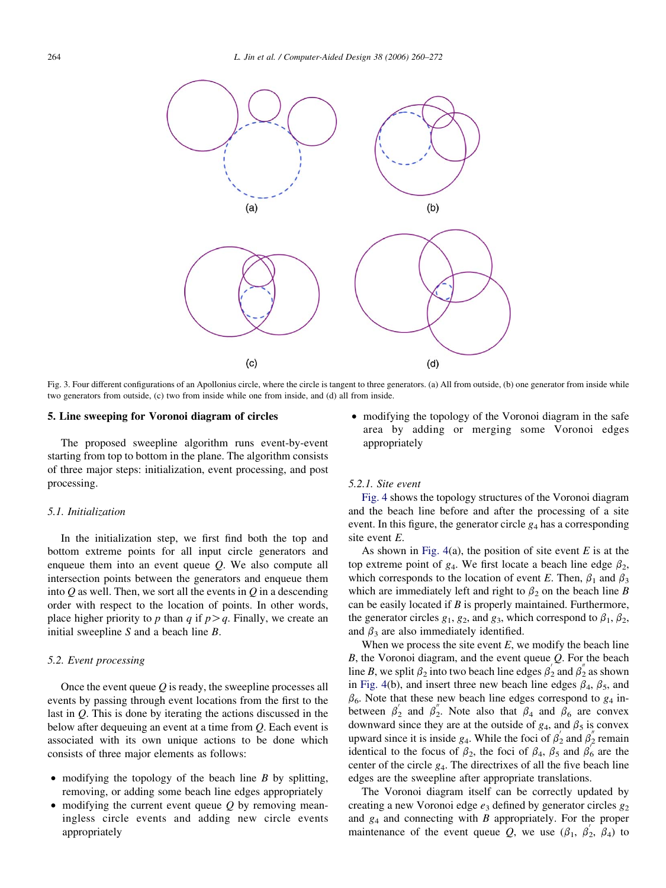<span id="page-4-0"></span>

Fig. 3. Four different configurations of an Apollonius circle, where the circle is tangent to three generators. (a) All from outside, (b) one generator from inside while two generators from outside, (c) two from inside while one from inside, and (d) all from inside.

#### 5. Line sweeping for Voronoi diagram of circles

The proposed sweepline algorithm runs event-by-event starting from top to bottom in the plane. The algorithm consists of three major steps: initialization, event processing, and post processing.

#### 5.1. Initialization

In the initialization step, we first find both the top and bottom extreme points for all input circle generators and enqueue them into an event queue  $O$ . We also compute all intersection points between the generators and enqueue them into  $\hat{O}$  as well. Then, we sort all the events in  $\hat{O}$  in a descending order with respect to the location of points. In other words, place higher priority to p than q if  $p > q$ . Finally, we create an initial sweepline S and a beach line B.

## 5.2. Event processing

Once the event queue  $Q$  is ready, the sweepline processes all events by passing through event locations from the first to the last in Q. This is done by iterating the actions discussed in the below after dequeuing an event at a time from O. Each event is associated with its own unique actions to be done which consists of three major elements as follows:

- modifying the topology of the beach line  $B$  by splitting, removing, or adding some beach line edges appropriately
- modifying the current event queue  $\ddot{o}$  by removing meaningless circle events and adding new circle events appropriately

• modifying the topology of the Voronoi diagram in the safe area by adding or merging some Voronoi edges appropriately

# 5.2.1. Site event

[Fig. 4](#page-5-0) shows the topology structures of the Voronoi diagram and the beach line before and after the processing of a site event. In this figure, the generator circle  $g_4$  has a corresponding site event E.

As shown in Fig.  $4(a)$ , the position of site event E is at the top extreme point of  $g_4$ . We first locate a beach line edge  $\beta_2$ , which corresponds to the location of event E. Then,  $\beta_1$  and  $\beta_3$ which are immediately left and right to  $\beta_2$  on the beach line B can be easily located if  $B$  is properly maintained. Furthermore, the generator circles  $g_1, g_2$ , and  $g_3$ , which correspond to  $\beta_1, \beta_2$ , and  $\beta_3$  are also immediately identified.

When we process the site event  $E$ , we modify the beach line  $B$ , the Voronoi diagram, and the event queue  $Q$ . For the beach line B, we split  $\beta_2$  into two beach line edges  $\beta_2$  and  $\beta_2$  as shown in [Fig. 4](#page-5-0)(b), and insert three new beach line edges  $\beta_4$ ,  $\beta_5$ , and  $\beta_6$ . Note that these new beach line edges correspond to  $g_4$  inbetween  $\beta_2'$  and  $\beta_2''$ . Note also that  $\beta_4$  and  $\beta_6$  are convex downward since they are at the outside of  $g_4$ , and  $\beta_5$  is convex upward since it is inside  $g_4$ . While the foci of  $\beta'_2$  and  $\beta''_2$  remain identical to the focus of  $\beta_2$ , the foci of  $\beta_4$ ,  $\beta_5$  and  $\beta_6$  are the center of the circle  $g_4$ . The directrixes of all the five beach line edges are the sweepline after appropriate translations.

The Voronoi diagram itself can be correctly updated by creating a new Voronoi edge  $e_3$  defined by generator circles  $g_2$ and  $g_4$  and connecting with B appropriately. For the proper maintenance of the event queue Q, we use  $(\beta_1, \beta_2, \beta_4)$  to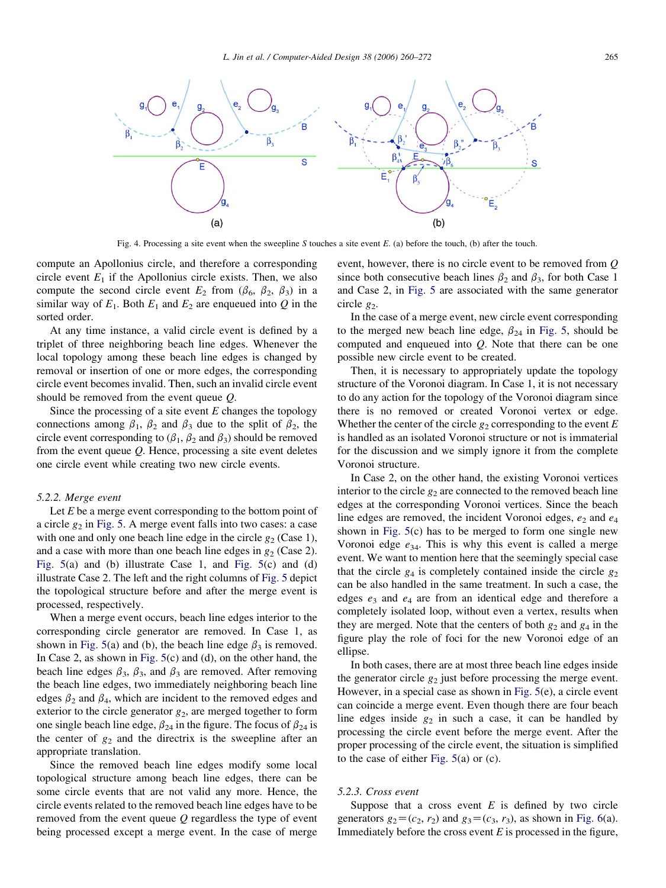<span id="page-5-0"></span>

Fig. 4. Processing a site event when the sweepline S touches a site event E. (a) before the touch, (b) after the touch.

compute an Apollonius circle, and therefore a corresponding circle event  $E_1$  if the Apollonius circle exists. Then, we also compute the second circle event  $E_2$  from  $(\beta_6, \beta_2, \beta_3)$  in a similar way of  $E_1$ . Both  $E_1$  and  $E_2$  are enqueued into Q in the sorted order.

At any time instance, a valid circle event is defined by a triplet of three neighboring beach line edges. Whenever the local topology among these beach line edges is changed by removal or insertion of one or more edges, the corresponding circle event becomes invalid. Then, such an invalid circle event should be removed from the event queue Q.

Since the processing of a site event  $E$  changes the topology connections among  $\beta_1$ ,  $\beta_2$  and  $\beta_3$  due to the split of  $\beta_2$ , the circle event corresponding to  $(\beta_1, \beta_2 \text{ and } \beta_3)$  should be removed from the event queue  $Q$ . Hence, processing a site event deletes one circle event while creating two new circle events.

# 5.2.2. Merge event

Let  $E$  be a merge event corresponding to the bottom point of a circle  $g_2$  in [Fig. 5](#page-6-0). A merge event falls into two cases: a case with one and only one beach line edge in the circle  $g_2$  (Case 1), and a case with more than one beach line edges in  $g_2$  (Case 2). [Fig. 5\(](#page-6-0)a) and (b) illustrate Case 1, and [Fig. 5\(](#page-6-0)c) and (d) illustrate Case 2. The left and the right columns of [Fig. 5](#page-6-0) depict the topological structure before and after the merge event is processed, respectively.

When a merge event occurs, beach line edges interior to the corresponding circle generator are removed. In Case 1, as shown in [Fig. 5\(](#page-6-0)a) and (b), the beach line edge  $\beta_3$  is removed. In Case 2, as shown in [Fig. 5\(](#page-6-0)c) and (d), on the other hand, the beach line edges  $\beta_3$ ,  $\beta_3$ , and  $\beta_3$  are removed. After removing the beach line edges, two immediately neighboring beach line edges  $\beta_2$  and  $\beta_4$ , which are incident to the removed edges and exterior to the circle generator  $g_2$ , are merged together to form one single beach line edge,  $\beta_{24}$  in the figure. The focus of  $\beta_{24}$  is the center of  $g_2$  and the directrix is the sweepline after an appropriate translation.

Since the removed beach line edges modify some local topological structure among beach line edges, there can be some circle events that are not valid any more. Hence, the circle events related to the removed beach line edges have to be removed from the event queue Q regardless the type of event being processed except a merge event. In the case of merge

event, however, there is no circle event to be removed from Q since both consecutive beach lines  $\beta_2$  and  $\beta_3$ , for both Case 1 and Case 2, in [Fig. 5](#page-6-0) are associated with the same generator circle  $g_2$ .

In the case of a merge event, new circle event corresponding to the merged new beach line edge,  $\beta_{24}$  in [Fig. 5,](#page-6-0) should be computed and enqueued into  $Q$ . Note that there can be one possible new circle event to be created.

Then, it is necessary to appropriately update the topology structure of the Voronoi diagram. In Case 1, it is not necessary to do any action for the topology of the Voronoi diagram since there is no removed or created Voronoi vertex or edge. Whether the center of the circle  $g_2$  corresponding to the event E is handled as an isolated Voronoi structure or not is immaterial for the discussion and we simply ignore it from the complete Voronoi structure.

In Case 2, on the other hand, the existing Voronoi vertices interior to the circle  $g_2$  are connected to the removed beach line edges at the corresponding Voronoi vertices. Since the beach line edges are removed, the incident Voronoi edges,  $e_2$  and  $e_4$ shown in [Fig. 5\(](#page-6-0)c) has to be merged to form one single new Voronoi edge  $e_{34}$ . This is why this event is called a merge event. We want to mention here that the seemingly special case that the circle  $g_4$  is completely contained inside the circle  $g_2$ can be also handled in the same treatment. In such a case, the edges  $e_3$  and  $e_4$  are from an identical edge and therefore a completely isolated loop, without even a vertex, results when they are merged. Note that the centers of both  $g_2$  and  $g_4$  in the figure play the role of foci for the new Voronoi edge of an ellipse.

In both cases, there are at most three beach line edges inside the generator circle  $g_2$  just before processing the merge event. However, in a special case as shown in [Fig. 5](#page-6-0)(e), a circle event can coincide a merge event. Even though there are four beach line edges inside  $g_2$  in such a case, it can be handled by processing the circle event before the merge event. After the proper processing of the circle event, the situation is simplified to the case of either [Fig. 5\(](#page-6-0)a) or (c).

# 5.2.3. Cross event

Suppose that a cross event  $E$  is defined by two circle generators  $g_2=(c_2, r_2)$  and  $g_3=(c_3, r_3)$ , as shown in [Fig. 6](#page-7-0)(a). Immediately before the cross event  $E$  is processed in the figure,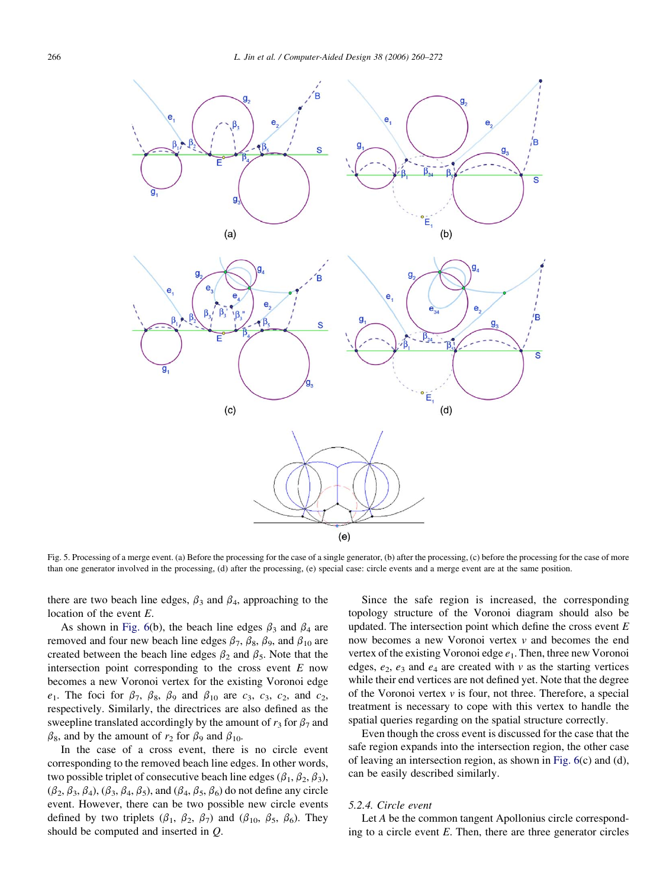<span id="page-6-0"></span>

Fig. 5. Processing of a merge event. (a) Before the processing for the case of a single generator, (b) after the processing, (c) before the processing for the case of more than one generator involved in the processing, (d) after the processing, (e) special case: circle events and a merge event are at the same position.

there are two beach line edges,  $\beta_3$  and  $\beta_4$ , approaching to the location of the event E.

As shown in [Fig. 6\(](#page-7-0)b), the beach line edges  $\beta_3$  and  $\beta_4$  are removed and four new beach line edges  $\beta_7$ ,  $\beta_8$ ,  $\beta_9$ , and  $\beta_{10}$  are created between the beach line edges  $\beta_2$  and  $\beta_5$ . Note that the intersection point corresponding to the cross event  $E$  now becomes a new Voronoi vertex for the existing Voronoi edge  $e_1$ . The foci for  $\beta_7$ ,  $\beta_8$ ,  $\beta_9$  and  $\beta_{10}$  are  $c_3$ ,  $c_3$ ,  $c_2$ , and  $c_2$ , respectively. Similarly, the directrices are also defined as the sweepline translated accordingly by the amount of  $r_3$  for  $\beta_7$  and  $\beta_8$ , and by the amount of  $r_2$  for  $\beta_9$  and  $\beta_{10}$ .

In the case of a cross event, there is no circle event corresponding to the removed beach line edges. In other words, two possible triplet of consecutive beach line edges  $(\beta_1, \beta_2, \beta_3)$ ,  $(\beta_2, \beta_3, \beta_4)$ ,  $(\beta_3, \beta_4, \beta_5)$ , and  $(\beta_4, \beta_5, \beta_6)$  do not define any circle event. However, there can be two possible new circle events defined by two triplets  $(\beta_1, \beta_2, \beta_7)$  and  $(\beta_{10}, \beta_5, \beta_6)$ . They should be computed and inserted in Q.

Since the safe region is increased, the corresponding topology structure of the Voronoi diagram should also be updated. The intersection point which define the cross event  $E$ now becomes a new Voronoi vertex  $\nu$  and becomes the end vertex of the existing Voronoi edge  $e_1$ . Then, three new Voronoi edges,  $e_2$ ,  $e_3$  and  $e_4$  are created with v as the starting vertices while their end vertices are not defined yet. Note that the degree of the Voronoi vertex  $v$  is four, not three. Therefore, a special treatment is necessary to cope with this vertex to handle the spatial queries regarding on the spatial structure correctly.

Even though the cross event is discussed for the case that the safe region expands into the intersection region, the other case of leaving an intersection region, as shown in [Fig. 6](#page-7-0)(c) and (d), can be easily described similarly.

#### 5.2.4. Circle event

Let A be the common tangent Apollonius circle corresponding to a circle event  $E$ . Then, there are three generator circles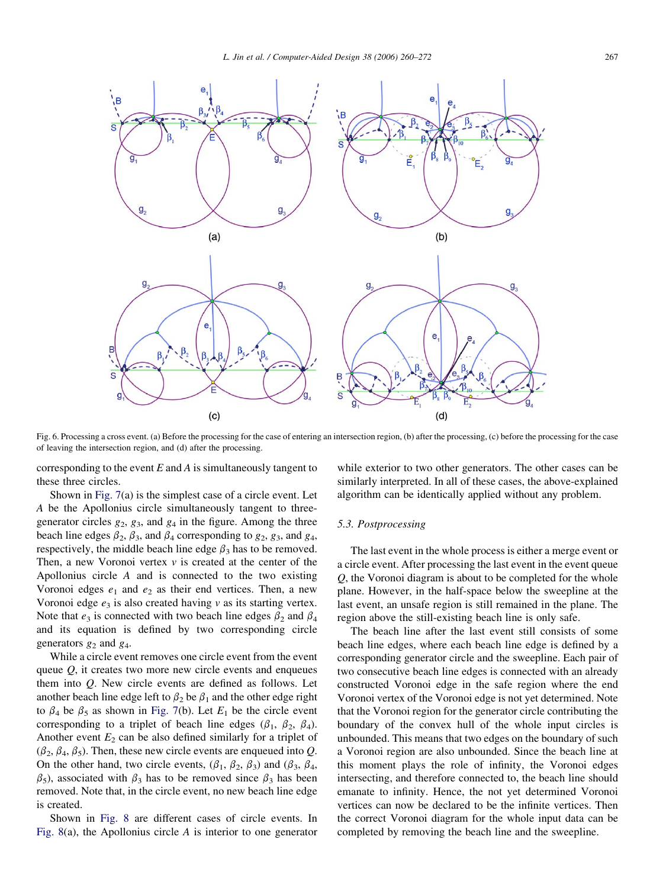<span id="page-7-0"></span>

Fig. 6. Processing a cross event. (a) Before the processing for the case of entering an intersection region, (b) after the processing, (c) before the processing for the case of leaving the intersection region, and (d) after the processing.

corresponding to the event  $E$  and  $\overline{A}$  is simultaneously tangent to these three circles.

Shown in [Fig. 7](#page-8-0)(a) is the simplest case of a circle event. Let A be the Apollonius circle simultaneously tangent to threegenerator circles  $g_2$ ,  $g_3$ , and  $g_4$  in the figure. Among the three beach line edges  $\beta_2$ ,  $\beta_3$ , and  $\beta_4$  corresponding to  $g_2$ ,  $g_3$ , and  $g_4$ , respectively, the middle beach line edge  $\beta_3$  has to be removed. Then, a new Voronoi vertex  $\nu$  is created at the center of the Apollonius circle A and is connected to the two existing Voronoi edges  $e_1$  and  $e_2$  as their end vertices. Then, a new Voronoi edge  $e_3$  is also created having v as its starting vertex. Note that  $e_3$  is connected with two beach line edges  $\beta_2$  and  $\beta_4$ and its equation is defined by two corresponding circle generators  $g_2$  and  $g_4$ .

While a circle event removes one circle event from the event queue  $Q$ , it creates two more new circle events and enqueues them into Q. New circle events are defined as follows. Let another beach line edge left to  $\beta_2$  be  $\beta_1$  and the other edge right to  $\beta_4$  be  $\beta_5$  as shown in [Fig. 7](#page-8-0)(b). Let  $E_1$  be the circle event corresponding to a triplet of beach line edges ( $\beta_1$ ,  $\beta_2$ ,  $\beta_4$ ). Another event  $E_2$  can be also defined similarly for a triplet of  $(\beta_2, \beta_4, \beta_5)$ . Then, these new circle events are enqueued into O. On the other hand, two circle events,  $(\beta_1, \beta_2, \beta_3)$  and  $(\beta_3, \beta_4, \beta_5)$  $\beta_5$ ), associated with  $\beta_3$  has to be removed since  $\beta_3$  has been removed. Note that, in the circle event, no new beach line edge is created.

Shown in [Fig. 8](#page-8-0) are different cases of circle events. In [Fig. 8](#page-8-0)(a), the Apollonius circle A is interior to one generator while exterior to two other generators. The other cases can be similarly interpreted. In all of these cases, the above-explained algorithm can be identically applied without any problem.

# 5.3. Postprocessing

The last event in the whole process is either a merge event or a circle event. After processing the last event in the event queue Q, the Voronoi diagram is about to be completed for the whole plane. However, in the half-space below the sweepline at the last event, an unsafe region is still remained in the plane. The region above the still-existing beach line is only safe.

The beach line after the last event still consists of some beach line edges, where each beach line edge is defined by a corresponding generator circle and the sweepline. Each pair of two consecutive beach line edges is connected with an already constructed Voronoi edge in the safe region where the end Voronoi vertex of the Voronoi edge is not yet determined. Note that the Voronoi region for the generator circle contributing the boundary of the convex hull of the whole input circles is unbounded. This means that two edges on the boundary of such a Voronoi region are also unbounded. Since the beach line at this moment plays the role of infinity, the Voronoi edges intersecting, and therefore connected to, the beach line should emanate to infinity. Hence, the not yet determined Voronoi vertices can now be declared to be the infinite vertices. Then the correct Voronoi diagram for the whole input data can be completed by removing the beach line and the sweepline.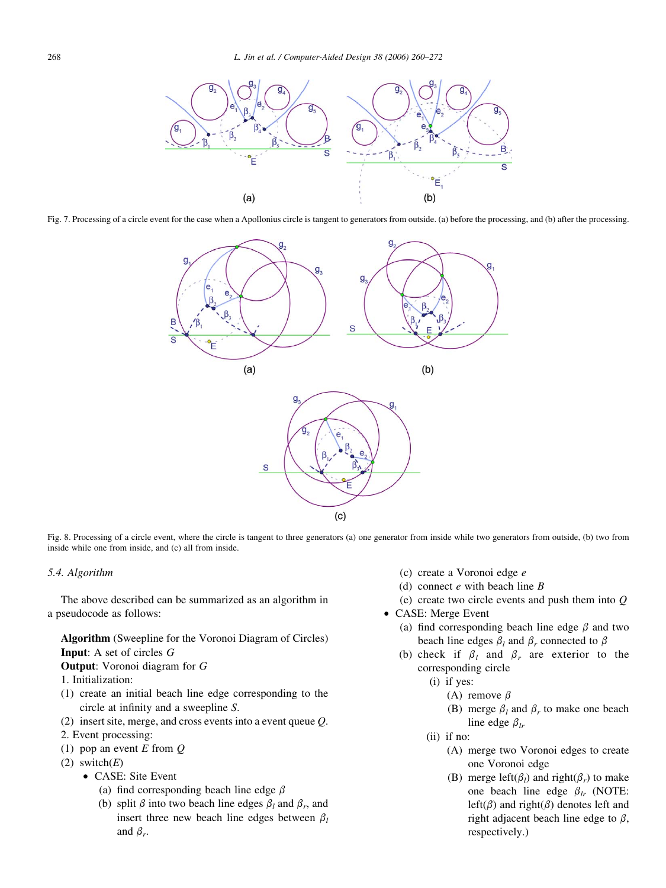<span id="page-8-0"></span>

Fig. 7. Processing of a circle event for the case when a Apollonius circle is tangent to generators from outside. (a) before the processing, and (b) after the processing.



Fig. 8. Processing of a circle event, where the circle is tangent to three generators (a) one generator from inside while two generators from outside, (b) two from inside while one from inside, and (c) all from inside.

# 5.4. Algorithm

The above described can be summarized as an algorithm in a pseudocode as follows:

Algorithm (Sweepline for the Voronoi Diagram of Circles) Input: A set of circles G

Output: Voronoi diagram for G

1. Initialization:

- (1) create an initial beach line edge corresponding to the circle at infinity and a sweepline S.
- (2) insert site, merge, and cross events into a event queue Q.
- 2. Event processing:
- (1) pop an event  $E$  from  $Q$
- (2) switch $(E)$ 
	- CASE: Site Event
		- (a) find corresponding beach line edge  $\beta$
		- (b) split  $\beta$  into two beach line edges  $\beta_l$  and  $\beta_r$ , and insert three new beach line edges between  $\beta_l$ and  $\beta_r$ .
- (c) create a Voronoi edge e
- (d) connect  $e$  with beach line  $B$
- (e) create two circle events and push them into Q
- CASE: Merge Event
	- (a) find corresponding beach line edge  $\beta$  and two beach line edges  $\beta_l$  and  $\beta_r$  connected to  $\beta$
	- (b) check if  $\beta_l$  and  $\beta_r$  are exterior to the corresponding circle
		- (i) if yes:
			- (A) remove  $\beta$
			- (B) merge  $\beta_l$  and  $\beta_r$  to make one beach line edge  $\beta_{lr}$
		- (ii) if no:
			- (A) merge two Voronoi edges to create one Voronoi edge
			- (B) merge left( $\beta_l$ ) and right( $\beta_r$ ) to make one beach line edge  $\beta_{lr}$  (NOTE: left( $\beta$ ) and right( $\beta$ ) denotes left and right adjacent beach line edge to  $\beta$ , respectively.)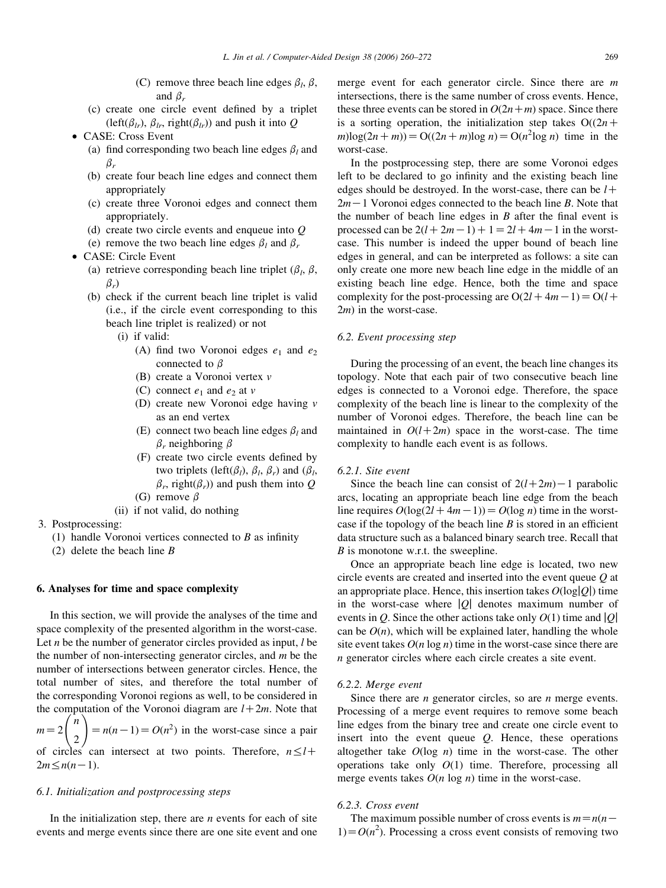- (C) remove three beach line edges  $\beta_l$ ,  $\beta$ , and  $\beta_r$
- (c) create one circle event defined by a triplet (left( $\beta_{lr}$ ),  $\beta_{lr}$ , right( $\beta_{lr}$ )) and push it into Q
- CASE: Cross Event
	- (a) find corresponding two beach line edges  $\beta_l$  and  $\beta_r$
	- (b) create four beach line edges and connect them appropriately
	- (c) create three Voronoi edges and connect them appropriately.
	- (d) create two circle events and enqueue into Q
	- (e) remove the two beach line edges  $\beta_l$  and  $\beta_r$
- CASE: Circle Event
	- (a) retrieve corresponding beach line triplet ( $\beta$ ,  $\beta$ ,  $\beta_r$
	- (b) check if the current beach line triplet is valid (i.e., if the circle event corresponding to this beach line triplet is realized) or not
		- (i) if valid:
			- (A) find two Voronoi edges  $e_1$  and  $e_2$ connected to  $\beta$
			- (B) create a Voronoi vertex v
			- (C) connect  $e_1$  and  $e_2$  at v
			- (D) create new Voronoi edge having v as an end vertex
			- (E) connect two beach line edges  $\beta_l$  and  $\beta_r$  neighboring  $\beta$
			- (F) create two circle events defined by two triplets (left( $\beta_l$ ),  $\beta_l$ ,  $\beta_r$ ) and ( $\beta_l$ ,  $\beta_r$ , right( $\beta_r$ )) and push them into Q
			- (G) remove  $\beta$
		- (ii) if not valid, do nothing
- 3. Postprocessing:
	- (1) handle Voronoi vertices connected to  $B$  as infinity
	- (2) delete the beach line B

# 6. Analyses for time and space complexity

In this section, we will provide the analyses of the time and space complexity of the presented algorithm in the worst-case. Let  $n$  be the number of generator circles provided as input,  $l$  be the number of non-intersecting generator circles, and  $m$  be the number of intersections between generator circles. Hence, the total number of sites, and therefore the total number of the corresponding Voronoi regions as well, to be considered in the computation of the Voronoi diagram are  $l+2m$ . Note that  $m=2^n \binom{n}{2}$ 2  $\mathcal{L}^{\text{input}}$  $n(n-1) = O(n^2)$  in the worst-case since a pair of circles can intersect at two points. Therefore,  $n \leq l+$  $2m \leq n(n-1)$ .

# 6.1. Initialization and postprocessing steps

In the initialization step, there are  $n$  events for each of site events and merge events since there are one site event and one merge event for each generator circle. Since there are  $m$ intersections, there is the same number of cross events. Hence, these three events can be stored in  $O(2n+m)$  space. Since there is a sorting operation, the initialization step takes  $O((2n +$  $mlog(2n+m) = O((2n+m)log n) = O(n^2log n)$  time in the worst-case.

In the postprocessing step, there are some Voronoi edges left to be declared to go infinity and the existing beach line edges should be destroyed. In the worst-case, there can be  $l+$  $2m-1$  Voronoi edges connected to the beach line B. Note that the number of beach line edges in  $B$  after the final event is processed can be  $2(l+2m-1)+1=2l+4m-1$  in the worstcase. This number is indeed the upper bound of beach line edges in general, and can be interpreted as follows: a site can only create one more new beach line edge in the middle of an existing beach line edge. Hence, both the time and space complexity for the post-processing are  $O(2l+4m-1) = O(l+$  $2m$ ) in the worst-case.

## 6.2. Event processing step

During the processing of an event, the beach line changes its topology. Note that each pair of two consecutive beach line edges is connected to a Voronoi edge. Therefore, the space complexity of the beach line is linear to the complexity of the number of Voronoi edges. Therefore, the beach line can be maintained in  $O(l+2m)$  space in the worst-case. The time complexity to handle each event is as follows.

#### 6.2.1. Site event

Since the beach line can consist of  $2(l+2m)-1$  parabolic arcs, locating an appropriate beach line edge from the beach line requires  $O(\log(2l+4m-1))=O(\log n)$  time in the worstcase if the topology of the beach line  $B$  is stored in an efficient data structure such as a balanced binary search tree. Recall that B is monotone w.r.t. the sweepline.

Once an appropriate beach line edge is located, two new circle events are created and inserted into the event queue Q at an appropriate place. Hence, this insertion takes  $O(\log|Q|)$  time in the worst-case where  $|Q|$  denotes maximum number of events in Q. Since the other actions take only  $O(1)$  time and  $|Q|$ can be  $O(n)$ , which will be explained later, handling the whole site event takes  $O(n \log n)$  time in the worst-case since there are n generator circles where each circle creates a site event.

#### 6.2.2. Merge event

Since there are  $n$  generator circles, so are  $n$  merge events. Processing of a merge event requires to remove some beach line edges from the binary tree and create one circle event to insert into the event queue  $Q$ . Hence, these operations altogether take  $O(\log n)$  time in the worst-case. The other operations take only  $O(1)$  time. Therefore, processing all merge events takes  $O(n \log n)$  time in the worst-case.

## 6.2.3. Cross event

The maximum possible number of cross events is  $m=n(n-$ 1)= $O(n^2)$ . Processing a cross event consists of removing two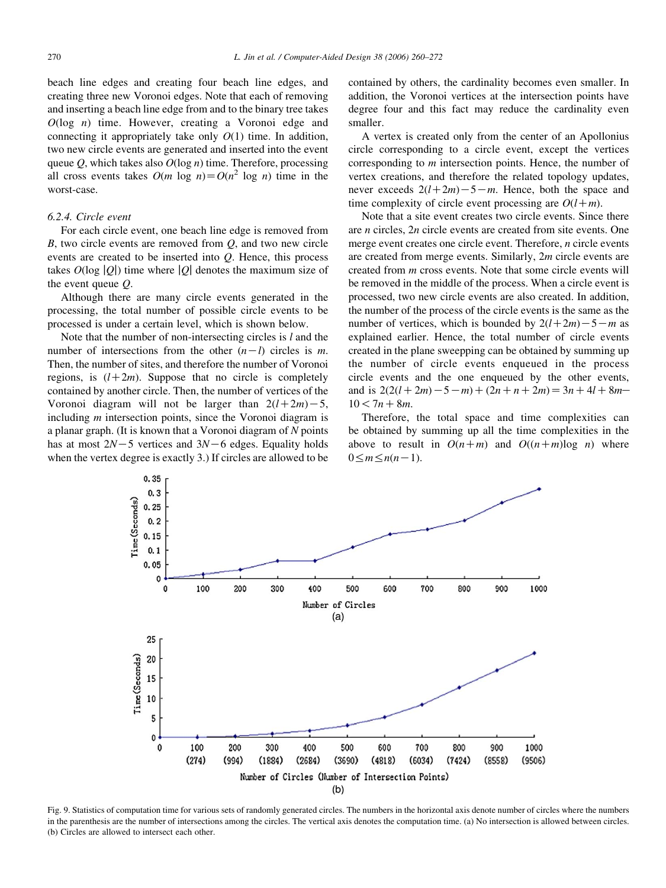<span id="page-10-0"></span>beach line edges and creating four beach line edges, and creating three new Voronoi edges. Note that each of removing and inserting a beach line edge from and to the binary tree takes  $O(\log n)$  time. However, creating a Voronoi edge and connecting it appropriately take only  $O(1)$  time. In addition, two new circle events are generated and inserted into the event queue  $Q$ , which takes also  $O(\log n)$  time. Therefore, processing all cross events takes  $O(m \log n) = O(n^2 \log n)$  time in the worst-case.

# 6.2.4. Circle event

For each circle event, one beach line edge is removed from  $B$ , two circle events are removed from  $Q$ , and two new circle events are created to be inserted into Q. Hence, this process takes  $O(\log |Q|)$  time where |Q| denotes the maximum size of the event queue Q.

Although there are many circle events generated in the processing, the total number of possible circle events to be processed is under a certain level, which is shown below.

Note that the number of non-intersecting circles is  $l$  and the number of intersections from the other  $(n-l)$  circles is m. Then, the number of sites, and therefore the number of Voronoi regions, is  $(l+2m)$ . Suppose that no circle is completely contained by another circle. Then, the number of vertices of the Voronoi diagram will not be larger than  $2(l+2m)-5$ , including m intersection points, since the Voronoi diagram is a planar graph. (It is known that a Voronoi diagram of N points has at most  $2N-5$  vertices and  $3N-6$  edges. Equality holds when the vertex degree is exactly 3.) If circles are allowed to be contained by others, the cardinality becomes even smaller. In addition, the Voronoi vertices at the intersection points have degree four and this fact may reduce the cardinality even smaller.

A vertex is created only from the center of an Apollonius circle corresponding to a circle event, except the vertices corresponding to m intersection points. Hence, the number of vertex creations, and therefore the related topology updates, never exceeds  $2(l+2m)-5-m$ . Hence, both the space and time complexity of circle event processing are  $O(l+m)$ .

Note that a site event creates two circle events. Since there are n circles, 2n circle events are created from site events. One merge event creates one circle event. Therefore, *n* circle events are created from merge events. Similarly, 2m circle events are created from m cross events. Note that some circle events will be removed in the middle of the process. When a circle event is processed, two new circle events are also created. In addition, the number of the process of the circle events is the same as the number of vertices, which is bounded by  $2(l+2m)-5-m$  as explained earlier. Hence, the total number of circle events created in the plane sweepping can be obtained by summing up the number of circle events enqueued in the process circle events and the one enqueued by the other events, and is  $2(2(l+2m)-5-m)+(2n+n+2m)=3n+4l+8m 10 < 7n + 8m$ .

Therefore, the total space and time complexities can be obtained by summing up all the time complexities in the above to result in  $O(n+m)$  and  $O((n+m)\log n)$  where  $0 \leq m \leq n(n-1)$ .

![](_page_10_Figure_11.jpeg)

Fig. 9. Statistics of computation time for various sets of randomly generated circles. The numbers in the horizontal axis denote number of circles where the numbers in the parenthesis are the number of intersections among the circles. The vertical axis denotes the computation time. (a) No intersection is allowed between circles. (b) Circles are allowed to intersect each other.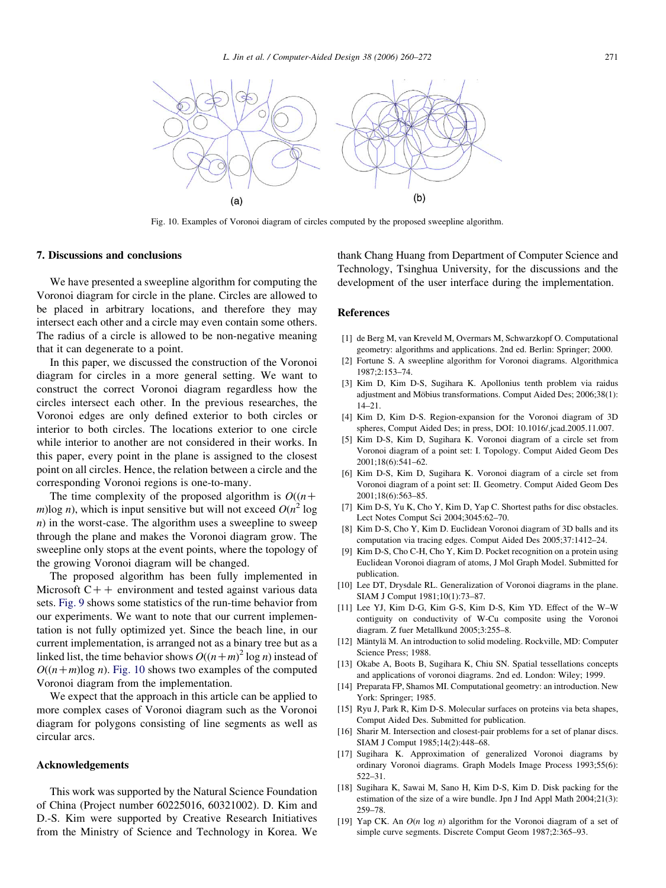<span id="page-11-0"></span>![](_page_11_Figure_1.jpeg)

Fig. 10. Examples of Voronoi diagram of circles computed by the proposed sweepline algorithm.

## 7. Discussions and conclusions

We have presented a sweepline algorithm for computing the Voronoi diagram for circle in the plane. Circles are allowed to be placed in arbitrary locations, and therefore they may intersect each other and a circle may even contain some others. The radius of a circle is allowed to be non-negative meaning that it can degenerate to a point.

In this paper, we discussed the construction of the Voronoi diagram for circles in a more general setting. We want to construct the correct Voronoi diagram regardless how the circles intersect each other. In the previous researches, the Voronoi edges are only defined exterior to both circles or interior to both circles. The locations exterior to one circle while interior to another are not considered in their works. In this paper, every point in the plane is assigned to the closest point on all circles. Hence, the relation between a circle and the corresponding Voronoi regions is one-to-many.

The time complexity of the proposed algorithm is  $O((n+\sqrt{C}C))$ m)log n), which is input sensitive but will not exceed  $O(n^2 \log n)$  $n$ ) in the worst-case. The algorithm uses a sweepline to sweep through the plane and makes the Voronoi diagram grow. The sweepline only stops at the event points, where the topology of the growing Voronoi diagram will be changed.

The proposed algorithm has been fully implemented in Microsoft  $C++$  environment and tested against various data sets. [Fig. 9](#page-10-0) shows some statistics of the run-time behavior from our experiments. We want to note that our current implementation is not fully optimized yet. Since the beach line, in our current implementation, is arranged not as a binary tree but as a linked list, the time behavior shows  $O((n+m)^2 \log n)$  instead of  $O((n+m)\log n)$ . Fig. 10 shows two examples of the computed Voronoi diagram from the implementation.

We expect that the approach in this article can be applied to more complex cases of Voronoi diagram such as the Voronoi diagram for polygons consisting of line segments as well as circular arcs.

#### Acknowledgements

This work was supported by the Natural Science Foundation of China (Project number 60225016, 60321002). D. Kim and D.-S. Kim were supported by Creative Research Initiatives from the Ministry of Science and Technology in Korea. We

thank Chang Huang from Department of Computer Science and Technology, Tsinghua University, for the discussions and the development of the user interface during the implementation.

#### References

- [1] de Berg M, van Kreveld M, Overmars M, Schwarzkopf O. Computational geometry: algorithms and applications. 2nd ed. Berlin: Springer; 2000.
- [2] Fortune S. A sweepline algorithm for Voronoi diagrams. Algorithmica 1987;2:153–74.
- [3] Kim D, Kim D-S, Sugihara K. Apollonius tenth problem via raidus adjustment and Möbius transformations. Comput Aided Des; 2006;38(1): 14–21.
- [4] Kim D, Kim D-S. Region-expansion for the Voronoi diagram of 3D spheres, Comput Aided Des; in press, DOI: 10.1016/.jcad.2005.11.007.
- [5] Kim D-S, Kim D, Sugihara K. Voronoi diagram of a circle set from Voronoi diagram of a point set: I. Topology. Comput Aided Geom Des 2001;18(6):541–62.
- [6] Kim D-S, Kim D, Sugihara K. Voronoi diagram of a circle set from Voronoi diagram of a point set: II. Geometry. Comput Aided Geom Des 2001;18(6):563–85.
- [7] Kim D-S, Yu K, Cho Y, Kim D, Yap C. Shortest paths for disc obstacles. Lect Notes Comput Sci 2004;3045:62–70.
- [8] Kim D-S, Cho Y, Kim D. Euclidean Voronoi diagram of 3D balls and its computation via tracing edges. Comput Aided Des 2005;37:1412–24.
- [9] Kim D-S, Cho C-H, Cho Y, Kim D. Pocket recognition on a protein using Euclidean Voronoi diagram of atoms, J Mol Graph Model. Submitted for publication.
- [10] Lee DT, Drysdale RL. Generalization of Voronoi diagrams in the plane. SIAM J Comput 1981;10(1):73–87.
- [11] Lee YJ, Kim D-G, Kim G-S, Kim D-S, Kim YD. Effect of the W–W contiguity on conductivity of W-Cu composite using the Voronoi diagram. Z fuer Metallkund 2005;3:255–8.
- [12] Mäntylä M. An introduction to solid modeling. Rockville, MD: Computer Science Press; 1988.
- [13] Okabe A, Boots B, Sugihara K, Chiu SN. Spatial tessellations concepts and applications of voronoi diagrams. 2nd ed. London: Wiley; 1999.
- [14] Preparata FP, Shamos MI. Computational geometry: an introduction. New York: Springer; 1985.
- [15] Ryu J, Park R, Kim D-S. Molecular surfaces on proteins via beta shapes, Comput Aided Des. Submitted for publication.
- [16] Sharir M. Intersection and closest-pair problems for a set of planar discs. SIAM J Comput 1985;14(2):448–68.
- [17] Sugihara K. Approximation of generalized Voronoi diagrams by ordinary Voronoi diagrams. Graph Models Image Process 1993;55(6): 522–31.
- [18] Sugihara K, Sawai M, Sano H, Kim D-S, Kim D. Disk packing for the estimation of the size of a wire bundle. Jpn J Ind Appl Math 2004;21(3): 259–78.
- [19] Yap CK. An  $O(n \log n)$  algorithm for the Voronoi diagram of a set of simple curve segments. Discrete Comput Geom 1987;2:365–93.